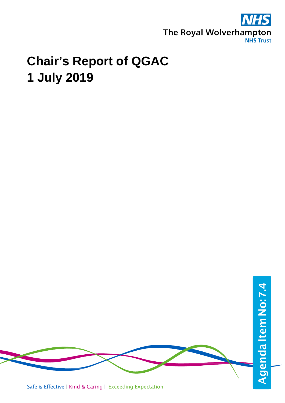

## **Chair's Report of QGAC 1 July 2019**

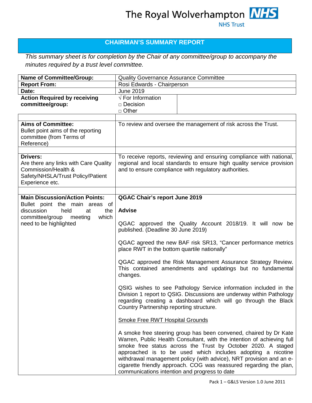## **CHAIRMAN'S SUMMARY REPORT**

*This summary sheet is for completion by the Chair of any committee/group to accompany the minutes required by a trust level committee.*

| <b>Name of Committee/Group:</b>                                                                                                    | <b>Quality Governance Assurance Committee</b>                                                                                                                                                                                                                                                                                                                                                                                                                                                                                                                  |
|------------------------------------------------------------------------------------------------------------------------------------|----------------------------------------------------------------------------------------------------------------------------------------------------------------------------------------------------------------------------------------------------------------------------------------------------------------------------------------------------------------------------------------------------------------------------------------------------------------------------------------------------------------------------------------------------------------|
| <b>Report From:</b>                                                                                                                | Rosi Edwards - Chairperson                                                                                                                                                                                                                                                                                                                                                                                                                                                                                                                                     |
| Date:                                                                                                                              | <b>June 2019</b>                                                                                                                                                                                                                                                                                                                                                                                                                                                                                                                                               |
| <b>Action Required by receiving</b><br>committee/group:                                                                            | $\sqrt{}$ For Information<br>□ Decision<br>$\Box$ Other                                                                                                                                                                                                                                                                                                                                                                                                                                                                                                        |
| <b>Aims of Committee:</b><br>Bullet point aims of the reporting<br>committee (from Terms of<br>Reference)                          | To review and oversee the management of risk across the Trust.                                                                                                                                                                                                                                                                                                                                                                                                                                                                                                 |
| Drivers:<br>Are there any links with Care Quality<br>Commission/Health &<br>Safety/NHSLA/Trust Policy/Patient<br>Experience etc.   | To receive reports, reviewing and ensuring compliance with national,<br>regional and local standards to ensure high quality service provision<br>and to ensure compliance with regulatory authorities.                                                                                                                                                                                                                                                                                                                                                         |
| <b>Main Discussion/Action Points:</b>                                                                                              | <b>QGAC Chair's report June 2019</b>                                                                                                                                                                                                                                                                                                                                                                                                                                                                                                                           |
| Bullet point the main areas of<br>discussion<br>held<br>the<br>at<br>committee/group<br>which<br>meeting<br>need to be highlighted | <b>Advise</b><br>QGAC approved the Quality Account 2018/19. It will now be<br>published. (Deadline 30 June 2019)<br>QGAC agreed the new BAF risk SR13, "Cancer performance metrics                                                                                                                                                                                                                                                                                                                                                                             |
|                                                                                                                                    | place RWT in the bottom quartile nationally"<br>QGAC approved the Risk Management Assurance Strategy Review.<br>This contained amendments and updatings but no fundamental<br>changes.<br>QSIG wishes to see Pathology Service information included in the<br>Division 1 report to QSIG. Discussions are underway within Pathology<br>regarding creating a dashboard which will go through the Black                                                                                                                                                           |
|                                                                                                                                    | Country Partnership reporting structure.<br><b>Smoke Free RWT Hospital Grounds</b><br>A smoke free steering group has been convened, chaired by Dr Kate<br>Warren, Public Health Consultant, with the intention of achieving full<br>smoke free status across the Trust by October 2020. A staged<br>approached is to be used which includes adopting a nicotine<br>withdrawal management policy (with advice), NRT provision and an e-<br>cigarette friendly approach. COG was reassured regarding the plan,<br>communications intention and progress to date |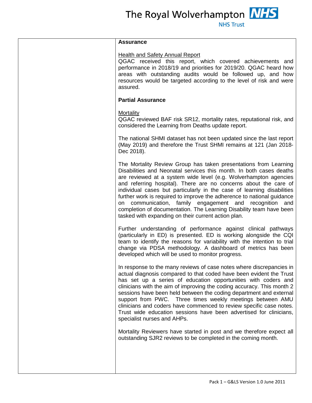| <b>Assurance</b>                                                                                                                                                                                                                                                                                                                                                                                                                                                                                                                                                                                                                |
|---------------------------------------------------------------------------------------------------------------------------------------------------------------------------------------------------------------------------------------------------------------------------------------------------------------------------------------------------------------------------------------------------------------------------------------------------------------------------------------------------------------------------------------------------------------------------------------------------------------------------------|
| <b>Health and Safety Annual Report</b><br>QGAC received this report, which covered achievements and<br>performance in 2018/19 and priorities for 2019/20. QGAC heard how<br>areas with outstanding audits would be followed up, and how<br>resources would be targeted according to the level of risk and were<br>assured.                                                                                                                                                                                                                                                                                                      |
| <b>Partial Assurance</b>                                                                                                                                                                                                                                                                                                                                                                                                                                                                                                                                                                                                        |
| Mortality<br>QGAC reviewed BAF risk SR12, mortality rates, reputational risk, and<br>considered the Learning from Deaths update report.                                                                                                                                                                                                                                                                                                                                                                                                                                                                                         |
| The national SHMI dataset has not been updated since the last report<br>(May 2019) and therefore the Trust SHMI remains at 121 (Jan 2018-<br>Dec 2018).                                                                                                                                                                                                                                                                                                                                                                                                                                                                         |
| The Mortality Review Group has taken presentations from Learning<br>Disabilities and Neonatal services this month. In both cases deaths<br>are reviewed at a system wide level (e.g. Wolverhampton agencies<br>and referring hospital). There are no concerns about the care of<br>individual cases but particularly in the case of learning disabilities<br>further work is required to improve the adherence to national guidance<br>on communication, family engagement and recognition<br>and<br>completion of documentation. The Learning Disability team have been<br>tasked with expanding on their current action plan. |
| Further understanding of performance against clinical pathways<br>(particularly in ED) is presented. ED is working alongside the CQI<br>team to identify the reasons for variability with the intention to trial<br>change via PDSA methodology. A dashboard of metrics has been<br>developed which will be used to monitor progress.                                                                                                                                                                                                                                                                                           |
| In response to the many reviews of case notes where discrepancies in<br>actual diagnosis compared to that coded have been evident the Trust<br>has set up a series of education opportunities with coders and<br>clinicians with the aim of improving the coding accuracy. This month 2<br>sessions have been held between the coding department and external<br>support from PWC. Three times weekly meetings between AMU<br>clinicians and coders have commenced to review specific case notes.<br>Trust wide education sessions have been advertised for clinicians,<br>specialist nurses and AHPs.                          |
| Mortality Reviewers have started in post and we therefore expect all<br>outstanding SJR2 reviews to be completed in the coming month.                                                                                                                                                                                                                                                                                                                                                                                                                                                                                           |
|                                                                                                                                                                                                                                                                                                                                                                                                                                                                                                                                                                                                                                 |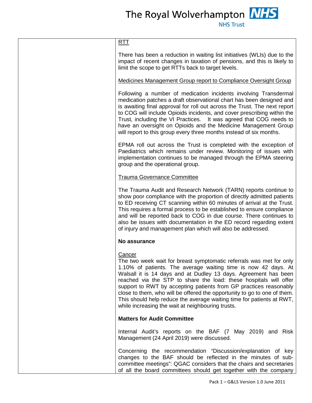| <u>RTT</u>                                                                                                                                                                                                                                                                                                                                                                                                                                                                                                                                                                    |
|-------------------------------------------------------------------------------------------------------------------------------------------------------------------------------------------------------------------------------------------------------------------------------------------------------------------------------------------------------------------------------------------------------------------------------------------------------------------------------------------------------------------------------------------------------------------------------|
| There has been a reduction in waiting list initiatives (WLIs) due to the<br>impact of recent changes in taxation of pensions, and this is likely to<br>limit the scope to get RTTs back to target levels.                                                                                                                                                                                                                                                                                                                                                                     |
| Medicines Management Group report to Compliance Oversight Group                                                                                                                                                                                                                                                                                                                                                                                                                                                                                                               |
| Following a number of medication incidents involving Transdermal<br>medication patches a draft observational chart has been designed and<br>is awaiting final approval for roll out across the Trust. The next report<br>to COG will include Opioids incidents, and cover prescribing within the<br>Trust, including the VI Practices. It was agreed that COG needs to<br>have an oversight on Opioids and the Medicine Management Group<br>will report to this group every three months instead of six months.                                                               |
| EPMA roll out across the Trust is completed with the exception of<br>Paediatrics which remains under review. Monitoring of issues with<br>implementation continues to be managed through the EPMA steering<br>group and the operational group.                                                                                                                                                                                                                                                                                                                                |
| <b>Trauma Governance Committee</b>                                                                                                                                                                                                                                                                                                                                                                                                                                                                                                                                            |
| The Trauma Audit and Research Network (TARN) reports continue to<br>show poor compliance with the proportion of directly admitted patients<br>to ED receiving CT scanning within 60 minutes of arrival at the Trust.<br>This requires a formal process to be established to ensure compliance<br>and will be reported back to COG in due course. There continues to<br>also be issues with documentation in the ED record regarding extent<br>of injury and management plan which will also be addressed.                                                                     |
| No assurance                                                                                                                                                                                                                                                                                                                                                                                                                                                                                                                                                                  |
| <u>Cancer</u><br>The two week wait for breast symptomatic referrals was met for only<br>1.10% of patients. The average waiting time is now 42 days. At<br>Walsall it is 14 days and at Dudley 13 days. Agreement has been<br>reached via the STP to share the load: these hospitals will offer<br>support to RWT by accepting patients from GP practices reasonably<br>close to them, who will be offered the opportunity to go to one of them.<br>This should help reduce the average waiting time for patients at RWT,<br>while increasing the wait at neighbouring trusts. |
| <b>Matters for Audit Committee</b>                                                                                                                                                                                                                                                                                                                                                                                                                                                                                                                                            |
| Internal Audit's reports on the BAF (7 May 2019) and Risk<br>Management (24 April 2019) were discussed.                                                                                                                                                                                                                                                                                                                                                                                                                                                                       |
| Concerning the recommendation "Discussion/explanation of key<br>changes to the BAF should be reflected in the minutes of sub-<br>committee meetings": QGAC considers that the chairs and secretaries<br>of all the board committees should get together with the company                                                                                                                                                                                                                                                                                                      |